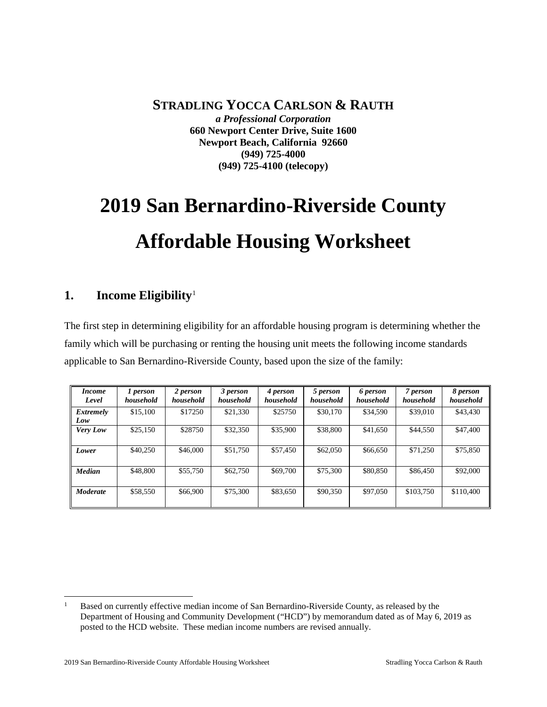**STRADLING YOCCA CARLSON & RAUTH** *a Professional Corporation* **660 Newport Center Drive, Suite 1600 Newport Beach, California 92660 (949) 725-4000 (949) 725-4100 (telecopy)**

# **2019 San Bernardino-Riverside County Affordable Housing Worksheet**

## **1. Income Eligibility**[1](#page-0-0)

The first step in determining eligibility for an affordable housing program is determining whether the family which will be purchasing or renting the housing unit meets the following income standards applicable to San Bernardino-Riverside County, based upon the size of the family:

| <i>Income</i><br>Level | 1 person<br>household | 2 person<br>household | 3 person<br>household | 4 person<br>household | 5 person<br>household | 6 person<br>household | 7 person<br>household | 8 person<br>household |
|------------------------|-----------------------|-----------------------|-----------------------|-----------------------|-----------------------|-----------------------|-----------------------|-----------------------|
| Extremely<br>Low       | \$15,100              | \$17250               | \$21,330              | \$25750               | \$30,170              | \$34,590              | \$39,010              | \$43,430              |
| Very Low               | \$25,150              | \$28750               | \$32,350              | \$35,900              | \$38,800              | \$41,650              | \$44,550              | \$47,400              |
| Lower                  | \$40,250              | \$46,000              | \$51,750              | \$57,450              | \$62,050              | \$66,650              | \$71.250              | \$75,850              |
| <b>Median</b>          | \$48,800              | \$55,750              | \$62,750              | \$69,700              | \$75,300              | \$80,850              | \$86,450              | \$92,000              |
| <b>Moderate</b>        | \$58,550              | \$66,900              | \$75,300              | \$83,650              | \$90,350              | \$97,050              | \$103,750             | \$110,400             |

<span id="page-0-0"></span><sup>&</sup>lt;sup>1</sup> Based on currently effective median income of San Bernardino-Riverside County, as released by the Department of Housing and Community Development ("HCD") by memorandum dated as of May 6, 2019 as posted to the HCD website. These median income numbers are revised annually.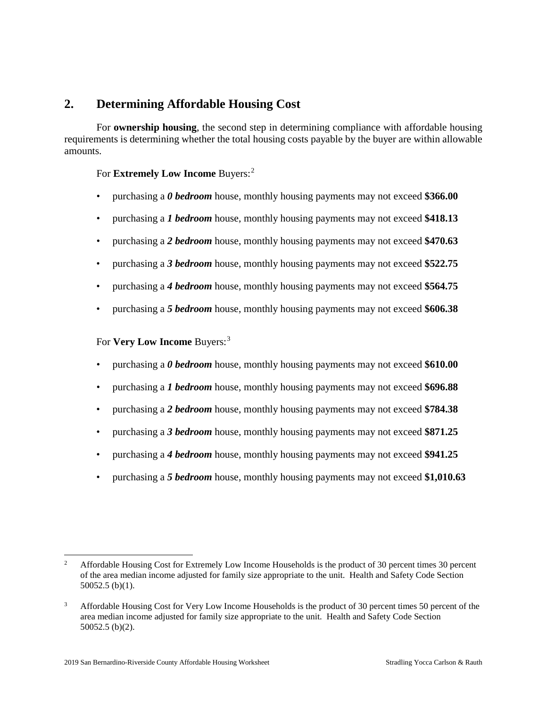## **2. Determining Affordable Housing Cost**

For **ownership housing**, the second step in determining compliance with affordable housing requirements is determining whether the total housing costs payable by the buyer are within allowable amounts.

### For **Extremely Low Income** Buyers:<sup>[2](#page-1-0)</sup>

- purchasing a *0 bedroom* house, monthly housing payments may not exceed **\$366.00**
- purchasing a *1 bedroom* house, monthly housing payments may not exceed **\$418.13**
- purchasing a *2 bedroom* house, monthly housing payments may not exceed **\$470.63**
- purchasing a *3 bedroom* house, monthly housing payments may not exceed **\$522.75**
- purchasing a *4 bedroom* house, monthly housing payments may not exceed **\$564.75**
- purchasing a *5 bedroom* house, monthly housing payments may not exceed **\$606.38**

For **Very Low Income** Buyers:<sup>[3](#page-1-1)</sup>

- purchasing a *0 bedroom* house, monthly housing payments may not exceed **\$610.00**
- purchasing a *1 bedroom* house, monthly housing payments may not exceed **\$696.88**
- purchasing a *2 bedroom* house, monthly housing payments may not exceed **\$784.38**
- purchasing a *3 bedroom* house, monthly housing payments may not exceed **\$871.25**
- purchasing a *4 bedroom* house, monthly housing payments may not exceed **\$941.25**
- purchasing a *5 bedroom* house, monthly housing payments may not exceed **\$1,010.63**

<span id="page-1-0"></span><sup>&</sup>lt;sup>2</sup> Affordable Housing Cost for Extremely Low Income Households is the product of 30 percent times 30 percent of the area median income adjusted for family size appropriate to the unit. Health and Safety Code Section 50052.5 (b)(1).

<span id="page-1-1"></span><sup>&</sup>lt;sup>3</sup> Affordable Housing Cost for Very Low Income Households is the product of 30 percent times 50 percent of the area median income adjusted for family size appropriate to the unit. Health and Safety Code Section 50052.5 (b)(2).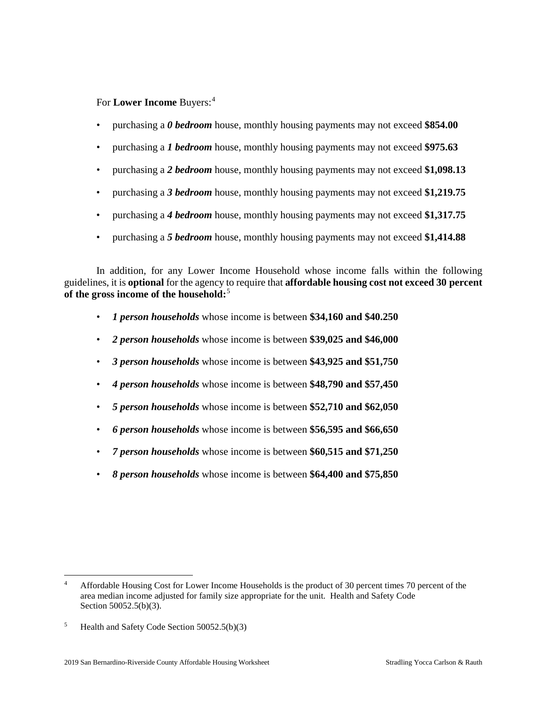For **Lower Income** Buyers:<sup>[4](#page-2-0)</sup>

- purchasing a *0 bedroom* house, monthly housing payments may not exceed **\$854.00**
- purchasing a *1 bedroom* house, monthly housing payments may not exceed **\$975.63**
- purchasing a *2 bedroom* house, monthly housing payments may not exceed **\$1,098.13**
- purchasing a *3 bedroom* house, monthly housing payments may not exceed **\$1,219.75**
- purchasing a *4 bedroom* house, monthly housing payments may not exceed **\$1,317.75**
- purchasing a *5 bedroom* house, monthly housing payments may not exceed **\$1,414.88**

In addition, for any Lower Income Household whose income falls within the following guidelines, it is **optional** for the agency to require that **affordable housing cost not exceed 30 percent of the gross income of the household:**[5](#page-2-1)

- *1 person households* whose income is between **\$34,160 and \$40.250**
- *2 person households* whose income is between **\$39,025 and \$46,000**
- *3 person households* whose income is between **\$43,925 and \$51,750**
- *4 person households* whose income is between **\$48,790 and \$57,450**
- *5 person households* whose income is between **\$52,710 and \$62,050**
- *6 person households* whose income is between **\$56,595 and \$66,650**
- *7 person households* whose income is between **\$60,515 and \$71,250**
- *8 person households* whose income is between **\$64,400 and \$75,850**

<span id="page-2-0"></span> <sup>4</sup> Affordable Housing Cost for Lower Income Households is the product of 30 percent times 70 percent of the area median income adjusted for family size appropriate for the unit. Health and Safety Code Section 50052.5(b)(3).

<span id="page-2-1"></span><sup>5</sup> Health and Safety Code Section 50052.5(b)(3)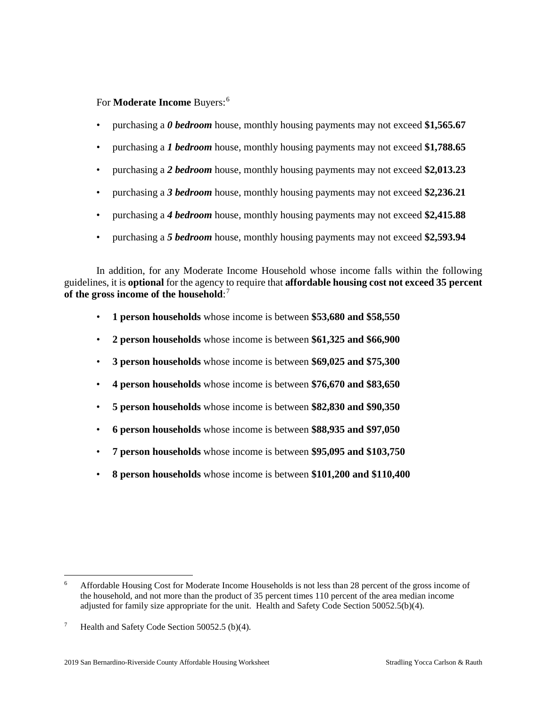For **Moderate Income** Buyers:[6](#page-3-0)

- purchasing a *0 bedroom* house, monthly housing payments may not exceed **\$1,565.67**
- purchasing a *1 bedroom* house, monthly housing payments may not exceed **\$1,788.65**
- purchasing a *2 bedroom* house, monthly housing payments may not exceed **\$2,013.23**
- purchasing a *3 bedroom* house, monthly housing payments may not exceed **\$2,236.21**
- purchasing a *4 bedroom* house, monthly housing payments may not exceed **\$2,415.88**
- purchasing a *5 bedroom* house, monthly housing payments may not exceed **\$2,593.94**

In addition, for any Moderate Income Household whose income falls within the following guidelines, it is **optional** for the agency to require that **affordable housing cost not exceed 35 percent of the gross income of the household**: [7](#page-3-1)

- **1 person households** whose income is between **\$53,680 and \$58,550**
- **2 person households** whose income is between **\$61,325 and \$66,900**
- **3 person households** whose income is between **\$69,025 and \$75,300**
- **4 person households** whose income is between **\$76,670 and \$83,650**
- **5 person households** whose income is between **\$82,830 and \$90,350**
- **6 person households** whose income is between **\$88,935 and \$97,050**
- **7 person households** whose income is between **\$95,095 and \$103,750**
- **8 person households** whose income is between **\$101,200 and \$110,400**

<span id="page-3-0"></span> <sup>6</sup> Affordable Housing Cost for Moderate Income Households is not less than 28 percent of the gross income of the household, and not more than the product of 35 percent times 110 percent of the area median income adjusted for family size appropriate for the unit. Health and Safety Code Section 50052.5(b)(4).

<span id="page-3-1"></span><sup>&</sup>lt;sup>7</sup> Health and Safety Code Section 50052.5 (b)(4).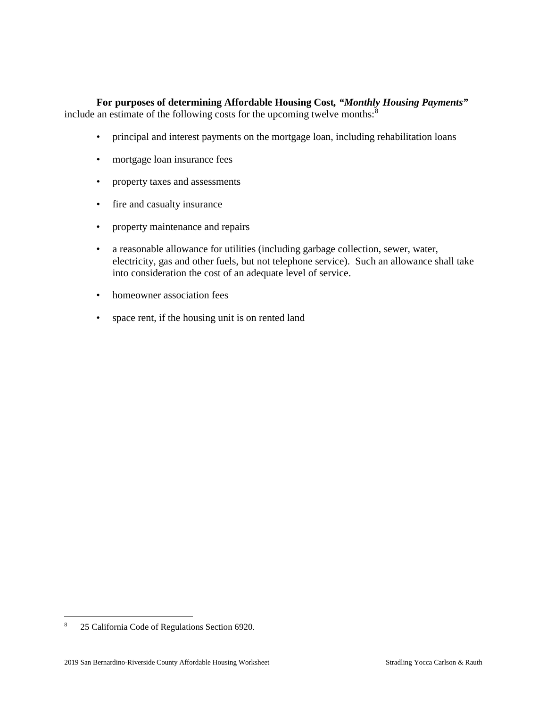#### **For purposes of determining Affordable Housing Cost***, "Monthly Housing Payments"* include an estimate of the following costs for the upcoming twelve months: $8$

- principal and interest payments on the mortgage loan, including rehabilitation loans
- mortgage loan insurance fees
- property taxes and assessments
- fire and casualty insurance
- property maintenance and repairs
- a reasonable allowance for utilities (including garbage collection, sewer, water, electricity, gas and other fuels, but not telephone service). Such an allowance shall take into consideration the cost of an adequate level of service.
- homeowner association fees
- space rent, if the housing unit is on rented land

<span id="page-4-0"></span> <sup>8</sup> 25 California Code of Regulations Section 6920.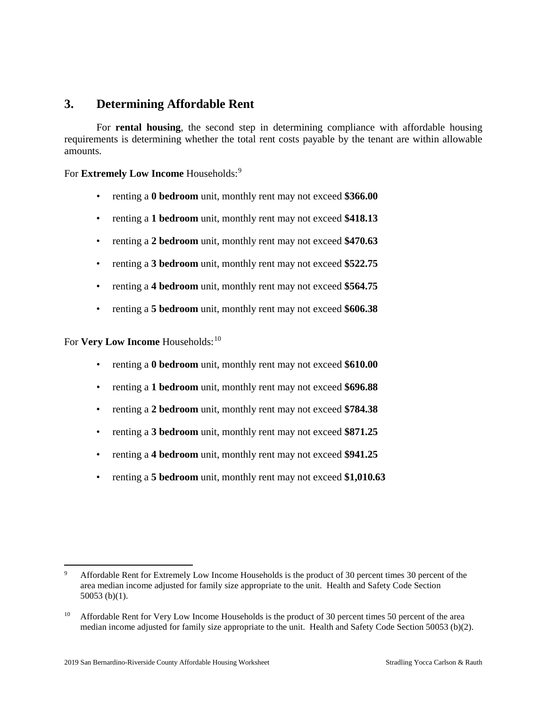## **3. Determining Affordable Rent**

For **rental housing**, the second step in determining compliance with affordable housing requirements is determining whether the total rent costs payable by the tenant are within allowable amounts.

For **Extremely Low Income** Households:<sup>[9](#page-5-0)</sup>

- renting a **0 bedroom** unit, monthly rent may not exceed **\$366.00**
- renting a **1 bedroom** unit, monthly rent may not exceed **\$418.13**
- renting a **2 bedroom** unit, monthly rent may not exceed **\$470.63**
- renting a **3 bedroom** unit, monthly rent may not exceed **\$522.75**
- renting a **4 bedroom** unit, monthly rent may not exceed **\$564.75**
- renting a **5 bedroom** unit, monthly rent may not exceed **\$606.38**

For **Very Low Income** Households:<sup>[10](#page-5-1)</sup>

- renting a **0 bedroom** unit, monthly rent may not exceed **\$610.00**
- renting a **1 bedroom** unit, monthly rent may not exceed **\$696.88**
- renting a **2 bedroom** unit, monthly rent may not exceed **\$784.38**
- renting a **3 bedroom** unit, monthly rent may not exceed **\$871.25**
- renting a **4 bedroom** unit, monthly rent may not exceed **\$941.25**
- renting a **5 bedroom** unit, monthly rent may not exceed **\$1,010.63**

<span id="page-5-0"></span>Affordable Rent for Extremely Low Income Households is the product of 30 percent times 30 percent of the area median income adjusted for family size appropriate to the unit. Health and Safety Code Section 50053 (b)(1).

<span id="page-5-1"></span><sup>&</sup>lt;sup>10</sup> Affordable Rent for Very Low Income Households is the product of 30 percent times 50 percent of the area median income adjusted for family size appropriate to the unit. Health and Safety Code Section 50053 (b)(2).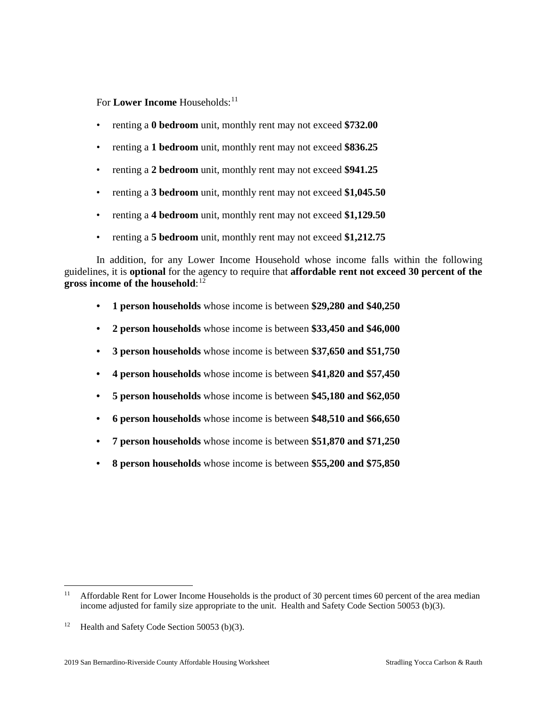For **Lower Income** Households:<sup>[11](#page-6-0)</sup>

- renting a **0 bedroom** unit, monthly rent may not exceed **\$732.00**
- renting a **1 bedroom** unit, monthly rent may not exceed **\$836.25**
- renting a **2 bedroom** unit, monthly rent may not exceed **\$941.25**
- renting a **3 bedroom** unit, monthly rent may not exceed **\$1,045.50**
- renting a **4 bedroom** unit, monthly rent may not exceed **\$1,129.50**
- renting a **5 bedroom** unit, monthly rent may not exceed **\$1,212.75**

In addition, for any Lower Income Household whose income falls within the following guidelines, it is **optional** for the agency to require that **affordable rent not exceed 30 percent of the gross income of the household**: [12](#page-6-1)

- **• 1 person households** whose income is between **\$29,280 and \$40,250**
- **• 2 person households** whose income is between **\$33,450 and \$46,000**
- **• 3 person households** whose income is between **\$37,650 and \$51,750**
- **• 4 person households** whose income is between **\$41,820 and \$57,450**
- **• 5 person households** whose income is between **\$45,180 and \$62,050**
- **• 6 person households** whose income is between **\$48,510 and \$66,650**
- **• 7 person households** whose income is between **\$51,870 and \$71,250**
- **• 8 person households** whose income is between **\$55,200 and \$75,850**

<span id="page-6-0"></span><sup>&</sup>lt;sup>11</sup> Affordable Rent for Lower Income Households is the product of 30 percent times 60 percent of the area median income adjusted for family size appropriate to the unit. Health and Safety Code Section 50053 (b)(3).

<span id="page-6-1"></span><sup>&</sup>lt;sup>12</sup> Health and Safety Code Section 50053 (b)(3).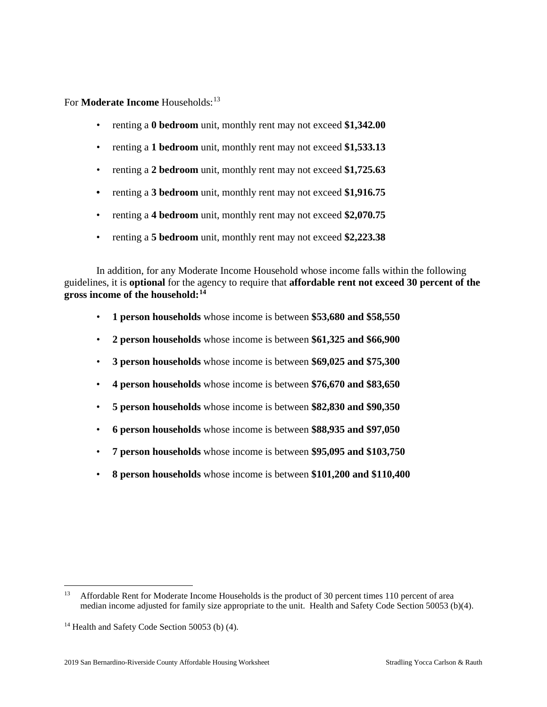For **Moderate Income** Households:<sup>[13](#page-7-0)</sup>

- renting a **0 bedroom** unit, monthly rent may not exceed **\$1,342.00**
- renting a **1 bedroom** unit, monthly rent may not exceed **\$1,533.13**
- renting a **2 bedroom** unit, monthly rent may not exceed **\$1,725.63**
- **•** renting a **3 bedroom** unit, monthly rent may not exceed **\$1,916.75**
- renting a **4 bedroom** unit, monthly rent may not exceed **\$2,070.75**
- renting a **5 bedroom** unit, monthly rent may not exceed **\$2,223.38**

In addition, for any Moderate Income Household whose income falls within the following guidelines, it is **optional** for the agency to require that **affordable rent not exceed 30 percent of the gross income of the household:[14](#page-7-1)**

- **1 person households** whose income is between **\$53,680 and \$58,550**
- **2 person households** whose income is between **\$61,325 and \$66,900**
- **3 person households** whose income is between **\$69,025 and \$75,300**
- **4 person households** whose income is between **\$76,670 and \$83,650**
- **5 person households** whose income is between **\$82,830 and \$90,350**
- **6 person households** whose income is between **\$88,935 and \$97,050**
- **7 person households** whose income is between **\$95,095 and \$103,750**
- **8 person households** whose income is between **\$101,200 and \$110,400**

<span id="page-7-0"></span><sup>&</sup>lt;sup>13</sup> Affordable Rent for Moderate Income Households is the product of 30 percent times 110 percent of area median income adjusted for family size appropriate to the unit. Health and Safety Code Section 50053 (b)(4).

<span id="page-7-1"></span> $14$  Health and Safety Code Section 50053 (b) (4).